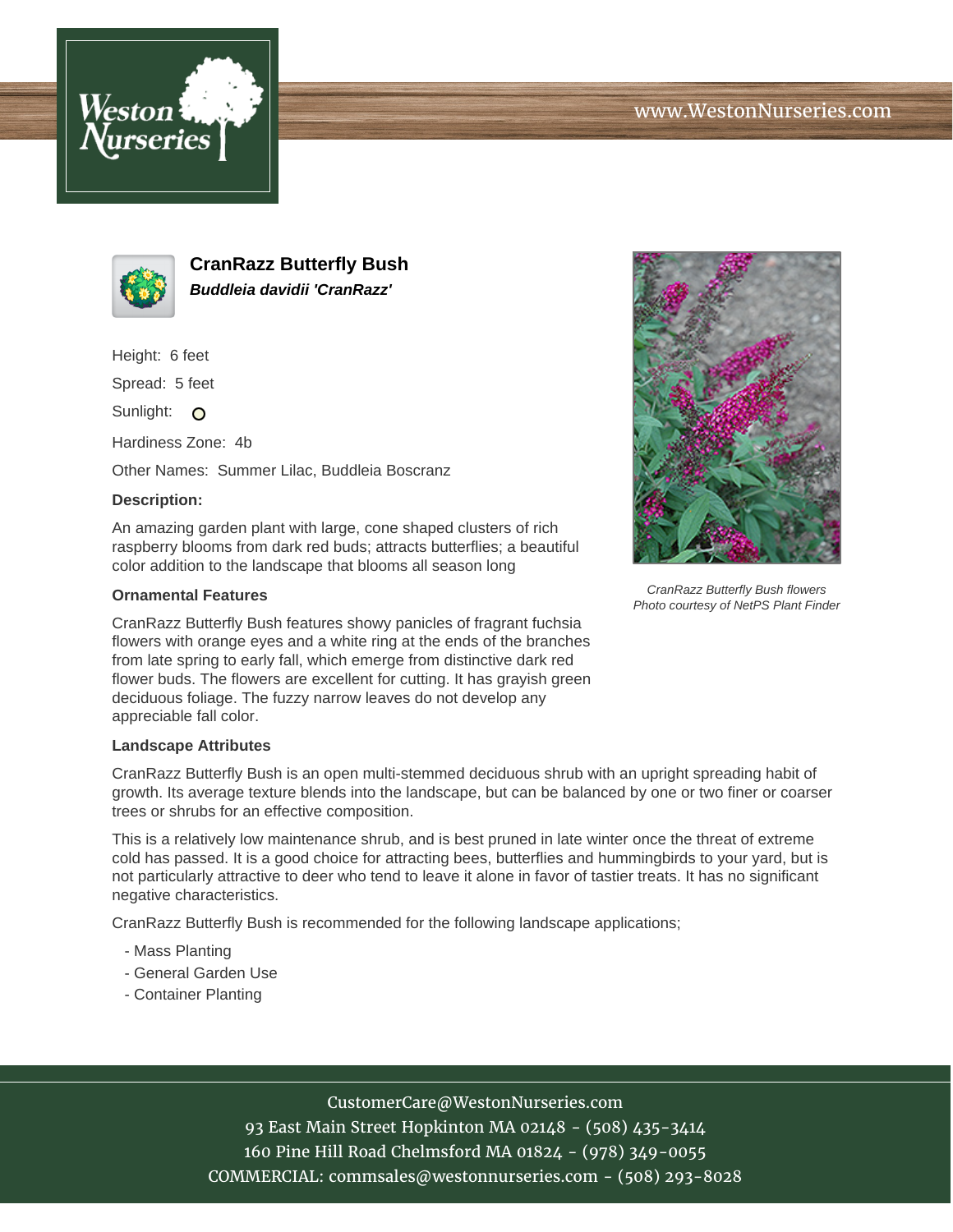



**CranRazz Butterfly Bush Buddleia davidii 'CranRazz'**

Height: 6 feet

Spread: 5 feet

Sunlight: O

Hardiness Zone: 4b

Other Names: Summer Lilac, Buddleia Boscranz

## **Description:**

An amazing garden plant with large, cone shaped clusters of rich raspberry blooms from dark red buds; attracts butterflies; a beautiful color addition to the landscape that blooms all season long

## **Ornamental Features**

CranRazz Butterfly Bush features showy panicles of fragrant fuchsia flowers with orange eyes and a white ring at the ends of the branches from late spring to early fall, which emerge from distinctive dark red flower buds. The flowers are excellent for cutting. It has grayish green deciduous foliage. The fuzzy narrow leaves do not develop any appreciable fall color.

## **Landscape Attributes**

CranRazz Butterfly Bush is an open multi-stemmed deciduous shrub with an upright spreading habit of growth. Its average texture blends into the landscape, but can be balanced by one or two finer or coarser trees or shrubs for an effective composition.

This is a relatively low maintenance shrub, and is best pruned in late winter once the threat of extreme cold has passed. It is a good choice for attracting bees, butterflies and hummingbirds to your yard, but is not particularly attractive to deer who tend to leave it alone in favor of tastier treats. It has no significant negative characteristics.

CranRazz Butterfly Bush is recommended for the following landscape applications;

- Mass Planting
- General Garden Use
- Container Planting



CranRazz Butterfly Bush flowers Photo courtesy of NetPS Plant Finder

CustomerCare@WestonNurseries.com

93 East Main Street Hopkinton MA 02148 - (508) 435-3414 160 Pine Hill Road Chelmsford MA 01824 - (978) 349-0055 COMMERCIAL: commsales@westonnurseries.com - (508) 293-8028